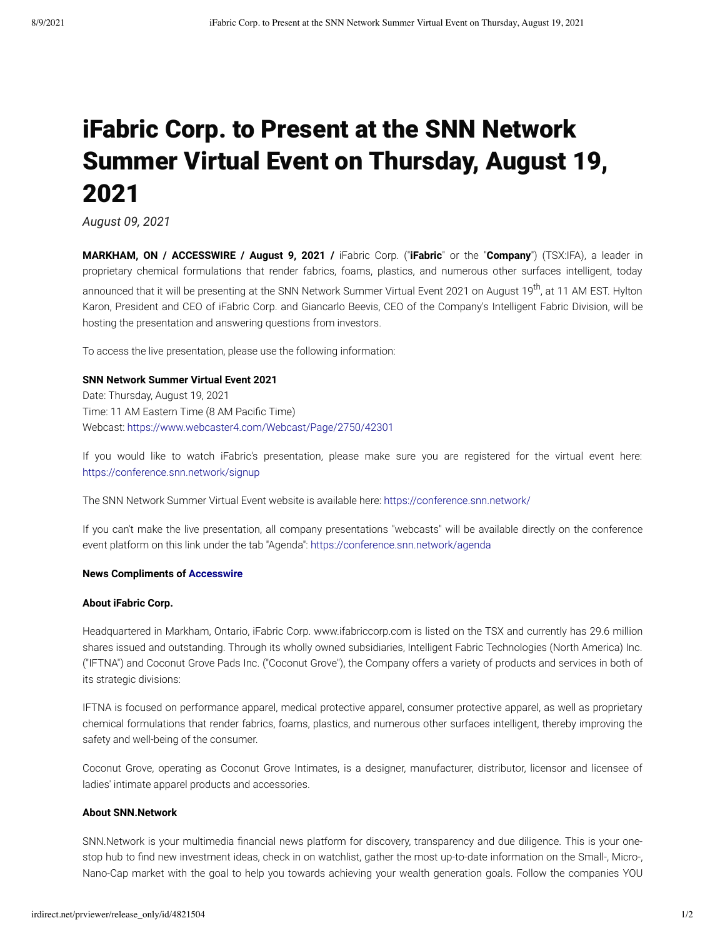# iFabric Corp. to Present at the SNN Network Summer Virtual Event on Thursday, August 19, 2021

*August 09, 2021*

**MARKHAM, ON / ACCESSWIRE / August 9, 2021 /** iFabric Corp. ("**iFabric**" or the "**Company**") (TSX:IFA), a leader in proprietary chemical formulations that render fabrics, foams, plastics, and numerous other surfaces intelligent, today announced that it will be presenting at the SNN Network Summer Virtual Event 2021 on August 19<sup>th</sup>, at 11 AM EST. Hylton Karon, President and CEO of iFabric Corp. and Giancarlo Beevis, CEO of the Company's Intelligent Fabric Division, will be hosting the presentation and answering questions from investors.

To access the live presentation, please use the following information:

#### **SNN Network Summer Virtual Event 2021**

Date: Thursday, August 19, 2021 Time: 11 AM Eastern Time (8 AM Pacific Time) Webcast: [https://www.webcaster4.com/Webcast/Page/2750/42301](https://pr.report/4ETSspbV)

If you would like to watch iFabric's presentation, please make sure you are registered for the virtual event here: [https://conference.snn.network/signup](https://pr.report/tGLsNrBS)

The SNN Network Summer Virtual Event website is available here: [https://conference.snn.network/](https://pr.report/o3Y4ltTO)

If you can't make the live presentation, all company presentations "webcasts" will be available directly on the conference event platform on this link under the tab "Agenda": [https://conference.snn.network/agenda](https://pr.report/Zns3P7wa)

#### **News Compliments of [Accesswire](https://pr.report/lYuO8AiZ)**

#### **About iFabric Corp.**

Headquartered in Markham, Ontario, iFabric Corp. www.ifabriccorp.com is listed on the TSX and currently has 29.6 million shares issued and outstanding. Through its wholly owned subsidiaries, Intelligent Fabric Technologies (North America) Inc. ("IFTNA") and Coconut Grove Pads Inc. ("Coconut Grove"), the Company offers a variety of products and services in both of its strategic divisions:

IFTNA is focused on performance apparel, medical protective apparel, consumer protective apparel, as well as proprietary chemical formulations that render fabrics, foams, plastics, and numerous other surfaces intelligent, thereby improving the safety and well-being of the consumer.

Coconut Grove, operating as Coconut Grove Intimates, is a designer, manufacturer, distributor, licensor and licensee of ladies' intimate apparel products and accessories.

#### **About SNN.Network**

SNN.Network is your multimedia financial news platform for discovery, transparency and due diligence. This is your onestop hub to find new investment ideas, check in on watchlist, gather the most up-to-date information on the Small-, Micro-, Nano-Cap market with the goal to help you towards achieving your wealth generation goals. Follow the companies YOU